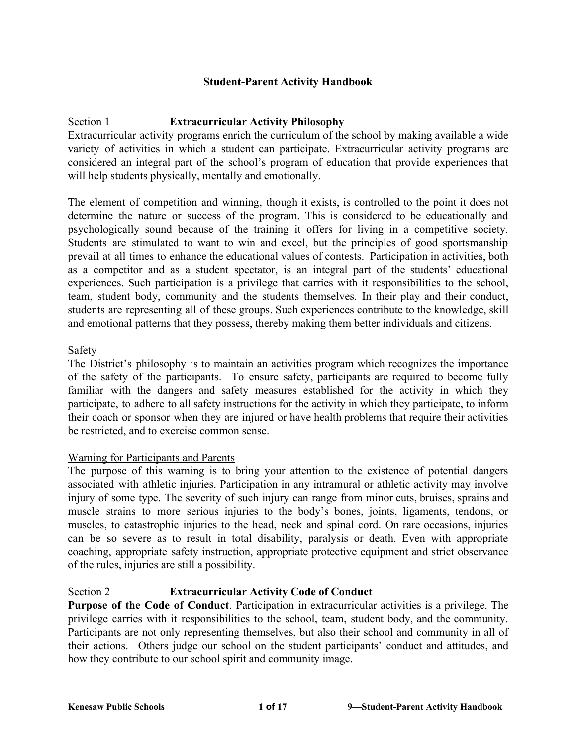### **Student-Parent Activity Handbook**

## Section 1 **Extracurricular Activity Philosophy**

Extracurricular activity programs enrich the curriculum of the school by making available a wide variety of activities in which a student can participate. Extracurricular activity programs are considered an integral part of the school's program of education that provide experiences that will help students physically, mentally and emotionally.

The element of competition and winning, though it exists, is controlled to the point it does not determine the nature or success of the program. This is considered to be educationally and psychologically sound because of the training it offers for living in a competitive society. Students are stimulated to want to win and excel, but the principles of good sportsmanship prevail at all times to enhance the educational values of contests. Participation in activities, both as a competitor and as a student spectator, is an integral part of the students' educational experiences. Such participation is a privilege that carries with it responsibilities to the school, team, student body, community and the students themselves. In their play and their conduct, students are representing all of these groups. Such experiences contribute to the knowledge, skill and emotional patterns that they possess, thereby making them better individuals and citizens.

### Safety

The District's philosophy is to maintain an activities program which recognizes the importance of the safety of the participants. To ensure safety, participants are required to become fully familiar with the dangers and safety measures established for the activity in which they participate, to adhere to all safety instructions for the activity in which they participate, to inform their coach or sponsor when they are injured or have health problems that require their activities be restricted, and to exercise common sense.

### Warning for Participants and Parents

The purpose of this warning is to bring your attention to the existence of potential dangers associated with athletic injuries. Participation in any intramural or athletic activity may involve injury of some type. The severity of such injury can range from minor cuts, bruises, sprains and muscle strains to more serious injuries to the body's bones, joints, ligaments, tendons, or muscles, to catastrophic injuries to the head, neck and spinal cord. On rare occasions, injuries can be so severe as to result in total disability, paralysis or death. Even with appropriate coaching, appropriate safety instruction, appropriate protective equipment and strict observance of the rules, injuries are still a possibility.

# Section 2 **Extracurricular Activity Code of Conduct**

**Purpose of the Code of Conduct**. Participation in extracurricular activities is a privilege. The privilege carries with it responsibilities to the school, team, student body, and the community. Participants are not only representing themselves, but also their school and community in all of their actions. Others judge our school on the student participants' conduct and attitudes, and how they contribute to our school spirit and community image.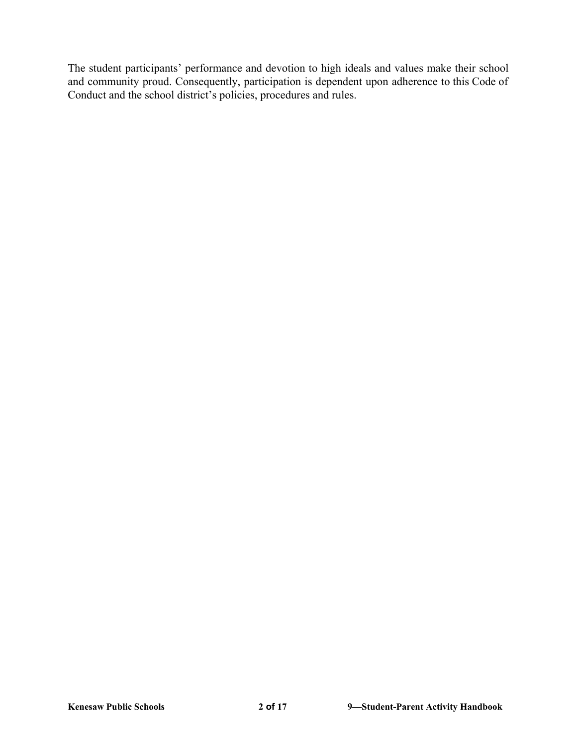The student participants' performance and devotion to high ideals and values make their school and community proud. Consequently, participation is dependent upon adherence to this Code of Conduct and the school district's policies, procedures and rules.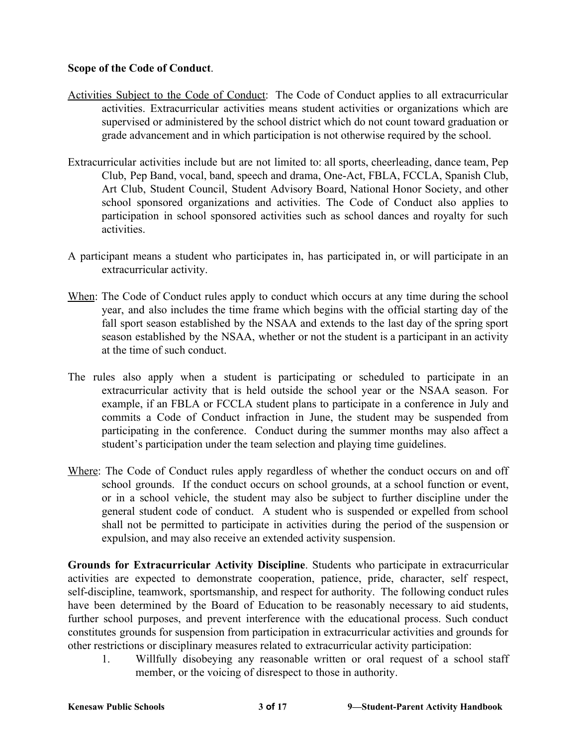# **Scope of the Code of Conduct**.

- Activities Subject to the Code of Conduct: The Code of Conduct applies to all extracurricular activities. Extracurricular activities means student activities or organizations which are supervised or administered by the school district which do not count toward graduation or grade advancement and in which participation is not otherwise required by the school.
- Extracurricular activities include but are not limited to: all sports, cheerleading, dance team, Pep Club, Pep Band, vocal, band, speech and drama, One-Act, FBLA, FCCLA, Spanish Club, Art Club, Student Council, Student Advisory Board, National Honor Society, and other school sponsored organizations and activities. The Code of Conduct also applies to participation in school sponsored activities such as school dances and royalty for such activities.
- A participant means a student who participates in, has participated in, or will participate in an extracurricular activity.
- When: The Code of Conduct rules apply to conduct which occurs at any time during the school year, and also includes the time frame which begins with the official starting day of the fall sport season established by the NSAA and extends to the last day of the spring sport season established by the NSAA, whether or not the student is a participant in an activity at the time of such conduct.
- The rules also apply when a student is participating or scheduled to participate in an extracurricular activity that is held outside the school year or the NSAA season. For example, if an FBLA or FCCLA student plans to participate in a conference in July and commits a Code of Conduct infraction in June, the student may be suspended from participating in the conference. Conduct during the summer months may also affect a student's participation under the team selection and playing time guidelines.
- Where: The Code of Conduct rules apply regardless of whether the conduct occurs on and off school grounds. If the conduct occurs on school grounds, at a school function or event, or in a school vehicle, the student may also be subject to further discipline under the general student code of conduct. A student who is suspended or expelled from school shall not be permitted to participate in activities during the period of the suspension or expulsion, and may also receive an extended activity suspension.

**Grounds for Extracurricular Activity Discipline**. Students who participate in extracurricular activities are expected to demonstrate cooperation, patience, pride, character, self respect, self-discipline, teamwork, sportsmanship, and respect for authority. The following conduct rules have been determined by the Board of Education to be reasonably necessary to aid students, further school purposes, and prevent interference with the educational process. Such conduct constitutes grounds for suspension from participation in extracurricular activities and grounds for other restrictions or disciplinary measures related to extracurricular activity participation:

1. Willfully disobeying any reasonable written or oral request of a school staff member, or the voicing of disrespect to those in authority.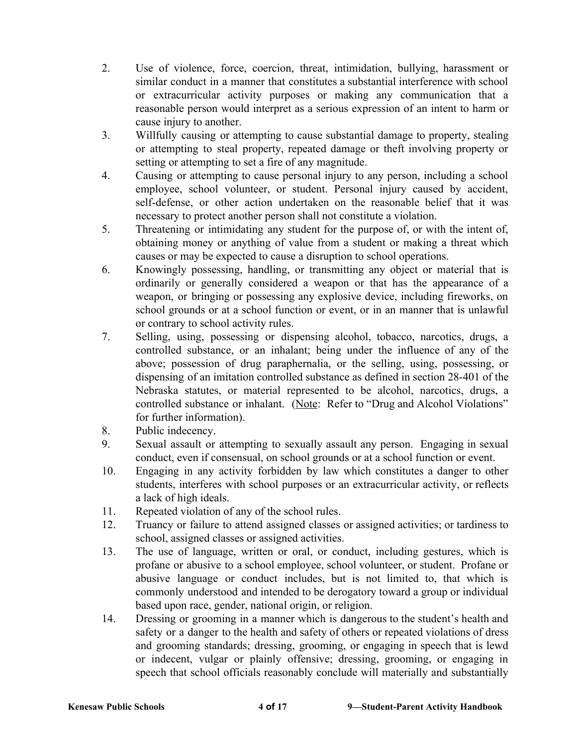- 2. Use of violence, force, coercion, threat, intimidation, bullying, harassment or similar conduct in a manner that constitutes a substantial interference with school or extracurricular activity purposes or making any communication that a reasonable person would interpret as a serious expression of an intent to harm or cause injury to another.
- 3. Willfully causing or attempting to cause substantial damage to property, stealing or attempting to steal property, repeated damage or theft involving property or setting or attempting to set a fire of any magnitude.
- 4. Causing or attempting to cause personal injury to any person, including a school employee, school volunteer, or student. Personal injury caused by accident, self-defense, or other action undertaken on the reasonable belief that it was necessary to protect another person shall not constitute a violation.
- 5. Threatening or intimidating any student for the purpose of, or with the intent of, obtaining money or anything of value from a student or making a threat which causes or may be expected to cause a disruption to school operations.
- 6. Knowingly possessing, handling, or transmitting any object or material that is ordinarily or generally considered a weapon or that has the appearance of a weapon, or bringing or possessing any explosive device, including fireworks, on school grounds or at a school function or event, or in an manner that is unlawful or contrary to school activity rules.
- 7. Selling, using, possessing or dispensing alcohol, tobacco, narcotics, drugs, a controlled substance, or an inhalant; being under the influence of any of the above; possession of drug paraphernalia, or the selling, using, possessing, or dispensing of an imitation controlled substance as defined in section 28-401 of the Nebraska statutes, or material represented to be alcohol, narcotics, drugs, a controlled substance or inhalant. (Note: Refer to "Drug and Alcohol Violations" for further information).
- 8. Public indecency.
- 9. Sexual assault or attempting to sexually assault any person. Engaging in sexual conduct, even if consensual, on school grounds or at a school function or event.
- 10. Engaging in any activity forbidden by law which constitutes a danger to other students, interferes with school purposes or an extracurricular activity, or reflects a lack of high ideals.
- 11. Repeated violation of any of the school rules.
- 12. Truancy or failure to attend assigned classes or assigned activities; or tardiness to school, assigned classes or assigned activities.
- 13. The use of language, written or oral, or conduct, including gestures, which is profane or abusive to a school employee, school volunteer, or student. Profane or abusive language or conduct includes, but is not limited to, that which is commonly understood and intended to be derogatory toward a group or individual based upon race, gender, national origin, or religion.
- 14. Dressing or grooming in a manner which is dangerous to the student's health and safety or a danger to the health and safety of others or repeated violations of dress and grooming standards; dressing, grooming, or engaging in speech that is lewd or indecent, vulgar or plainly offensive; dressing, grooming, or engaging in speech that school officials reasonably conclude will materially and substantially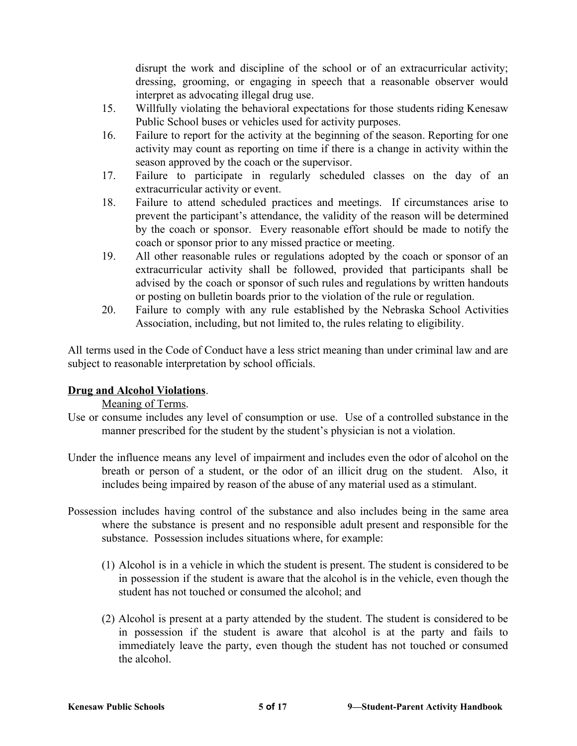disrupt the work and discipline of the school or of an extracurricular activity; dressing, grooming, or engaging in speech that a reasonable observer would interpret as advocating illegal drug use.

- 15. Willfully violating the behavioral expectations for those students riding Kenesaw Public School buses or vehicles used for activity purposes.
- 16. Failure to report for the activity at the beginning of the season. Reporting for one activity may count as reporting on time if there is a change in activity within the season approved by the coach or the supervisor.
- 17. Failure to participate in regularly scheduled classes on the day of an extracurricular activity or event.
- 18. Failure to attend scheduled practices and meetings. If circumstances arise to prevent the participant's attendance, the validity of the reason will be determined by the coach or sponsor. Every reasonable effort should be made to notify the coach or sponsor prior to any missed practice or meeting.
- 19. All other reasonable rules or regulations adopted by the coach or sponsor of an extracurricular activity shall be followed, provided that participants shall be advised by the coach or sponsor of such rules and regulations by written handouts or posting on bulletin boards prior to the violation of the rule or regulation.
- 20. Failure to comply with any rule established by the Nebraska School Activities Association, including, but not limited to, the rules relating to eligibility.

All terms used in the Code of Conduct have a less strict meaning than under criminal law and are subject to reasonable interpretation by school officials.

# **Drug and Alcohol Violations**.

Meaning of Terms.

- Use or consume includes any level of consumption or use. Use of a controlled substance in the manner prescribed for the student by the student's physician is not a violation.
- Under the influence means any level of impairment and includes even the odor of alcohol on the breath or person of a student, or the odor of an illicit drug on the student. Also, it includes being impaired by reason of the abuse of any material used as a stimulant.
- Possession includes having control of the substance and also includes being in the same area where the substance is present and no responsible adult present and responsible for the substance. Possession includes situations where, for example:
	- (1) Alcohol is in a vehicle in which the student is present. The student is considered to be in possession if the student is aware that the alcohol is in the vehicle, even though the student has not touched or consumed the alcohol; and
	- (2) Alcohol is present at a party attended by the student. The student is considered to be in possession if the student is aware that alcohol is at the party and fails to immediately leave the party, even though the student has not touched or consumed the alcohol.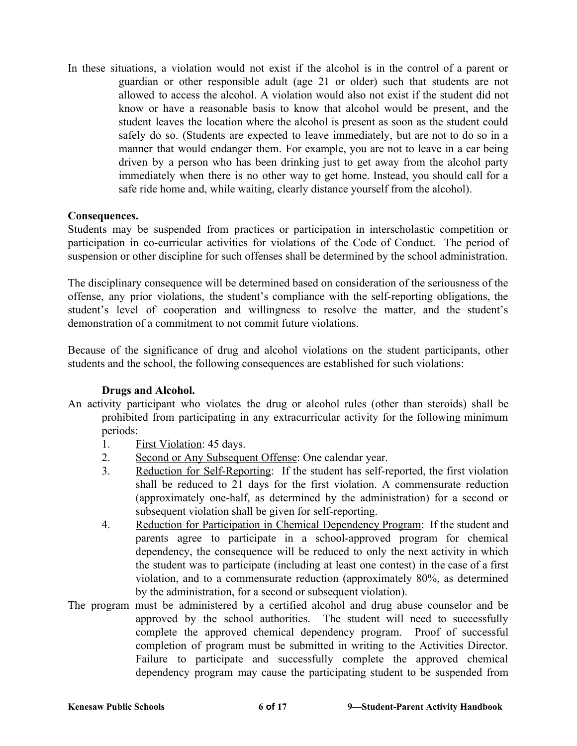In these situations, a violation would not exist if the alcohol is in the control of a parent or guardian or other responsible adult (age 21 or older) such that students are not allowed to access the alcohol. A violation would also not exist if the student did not know or have a reasonable basis to know that alcohol would be present, and the student leaves the location where the alcohol is present as soon as the student could safely do so. (Students are expected to leave immediately, but are not to do so in a manner that would endanger them. For example, you are not to leave in a car being driven by a person who has been drinking just to get away from the alcohol party immediately when there is no other way to get home. Instead, you should call for a safe ride home and, while waiting, clearly distance yourself from the alcohol).

## **Consequences.**

Students may be suspended from practices or participation in interscholastic competition or participation in co-curricular activities for violations of the Code of Conduct. The period of suspension or other discipline for such offenses shall be determined by the school administration.

The disciplinary consequence will be determined based on consideration of the seriousness of the offense, any prior violations, the student's compliance with the self-reporting obligations, the student's level of cooperation and willingness to resolve the matter, and the student's demonstration of a commitment to not commit future violations.

Because of the significance of drug and alcohol violations on the student participants, other students and the school, the following consequences are established for such violations:

### **Drugs and Alcohol.**

- An activity participant who violates the drug or alcohol rules (other than steroids) shall be prohibited from participating in any extracurricular activity for the following minimum periods:
	- 1. First Violation: 45 days.
	- 2. Second or Any Subsequent Offense: One calendar year.
	- 3. Reduction for Self-Reporting: If the student has self-reported, the first violation shall be reduced to 21 days for the first violation. A commensurate reduction (approximately one-half, as determined by the administration) for a second or subsequent violation shall be given for self-reporting.
	- 4. Reduction for Participation in Chemical Dependency Program: If the student and parents agree to participate in a school-approved program for chemical dependency, the consequence will be reduced to only the next activity in which the student was to participate (including at least one contest) in the case of a first violation, and to a commensurate reduction (approximately 80%, as determined by the administration, for a second or subsequent violation).
- The program must be administered by a certified alcohol and drug abuse counselor and be approved by the school authorities. The student will need to successfully complete the approved chemical dependency program. Proof of successful completion of program must be submitted in writing to the Activities Director. Failure to participate and successfully complete the approved chemical dependency program may cause the participating student to be suspended from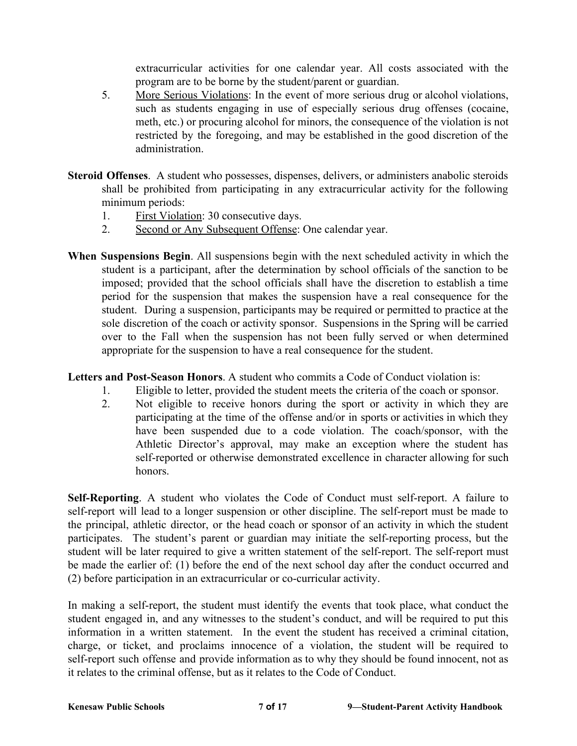extracurricular activities for one calendar year. All costs associated with the program are to be borne by the student/parent or guardian.

- 5. More Serious Violations: In the event of more serious drug or alcohol violations, such as students engaging in use of especially serious drug offenses (cocaine, meth, etc.) or procuring alcohol for minors, the consequence of the violation is not restricted by the foregoing, and may be established in the good discretion of the administration.
- **Steroid Offenses**. A student who possesses, dispenses, delivers, or administers anabolic steroids shall be prohibited from participating in any extracurricular activity for the following minimum periods:
	- 1. First Violation: 30 consecutive days.
	- 2. Second or Any Subsequent Offense: One calendar year.
- **When Suspensions Begin**. All suspensions begin with the next scheduled activity in which the student is a participant, after the determination by school officials of the sanction to be imposed; provided that the school officials shall have the discretion to establish a time period for the suspension that makes the suspension have a real consequence for the student. During a suspension, participants may be required or permitted to practice at the sole discretion of the coach or activity sponsor. Suspensions in the Spring will be carried over to the Fall when the suspension has not been fully served or when determined appropriate for the suspension to have a real consequence for the student.

**Letters and Post-Season Honors**. A student who commits a Code of Conduct violation is:

- 1. Eligible to letter, provided the student meets the criteria of the coach or sponsor.
- 2. Not eligible to receive honors during the sport or activity in which they are participating at the time of the offense and/or in sports or activities in which they have been suspended due to a code violation. The coach/sponsor, with the Athletic Director's approval, may make an exception where the student has self-reported or otherwise demonstrated excellence in character allowing for such honors.

**Self-Reporting**. A student who violates the Code of Conduct must self-report. A failure to self-report will lead to a longer suspension or other discipline. The self-report must be made to the principal, athletic director, or the head coach or sponsor of an activity in which the student participates. The student's parent or guardian may initiate the self-reporting process, but the student will be later required to give a written statement of the self-report. The self-report must be made the earlier of: (1) before the end of the next school day after the conduct occurred and (2) before participation in an extracurricular or co-curricular activity.

In making a self-report, the student must identify the events that took place, what conduct the student engaged in, and any witnesses to the student's conduct, and will be required to put this information in a written statement. In the event the student has received a criminal citation, charge, or ticket, and proclaims innocence of a violation, the student will be required to self-report such offense and provide information as to why they should be found innocent, not as it relates to the criminal offense, but as it relates to the Code of Conduct.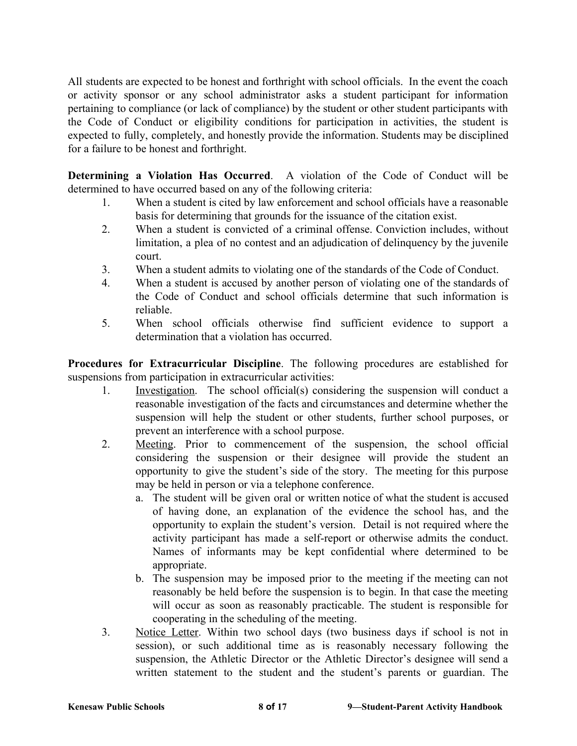All students are expected to be honest and forthright with school officials. In the event the coach or activity sponsor or any school administrator asks a student participant for information pertaining to compliance (or lack of compliance) by the student or other student participants with the Code of Conduct or eligibility conditions for participation in activities, the student is expected to fully, completely, and honestly provide the information. Students may be disciplined for a failure to be honest and forthright.

**Determining a Violation Has Occurred**. A violation of the Code of Conduct will be determined to have occurred based on any of the following criteria:

- 1. When a student is cited by law enforcement and school officials have a reasonable basis for determining that grounds for the issuance of the citation exist.
- 2. When a student is convicted of a criminal offense. Conviction includes, without limitation, a plea of no contest and an adjudication of delinquency by the juvenile court.
- 3. When a student admits to violating one of the standards of the Code of Conduct.
- 4. When a student is accused by another person of violating one of the standards of the Code of Conduct and school officials determine that such information is reliable.
- 5. When school officials otherwise find sufficient evidence to support a determination that a violation has occurred.

**Procedures for Extracurricular Discipline**. The following procedures are established for suspensions from participation in extracurricular activities:

- 1. Investigation. The school official(s) considering the suspension will conduct a reasonable investigation of the facts and circumstances and determine whether the suspension will help the student or other students, further school purposes, or prevent an interference with a school purpose.
- 2. Meeting. Prior to commencement of the suspension, the school official considering the suspension or their designee will provide the student an opportunity to give the student's side of the story. The meeting for this purpose may be held in person or via a telephone conference.
	- a. The student will be given oral or written notice of what the student is accused of having done, an explanation of the evidence the school has, and the opportunity to explain the student's version. Detail is not required where the activity participant has made a self-report or otherwise admits the conduct. Names of informants may be kept confidential where determined to be appropriate.
	- b. The suspension may be imposed prior to the meeting if the meeting can not reasonably be held before the suspension is to begin. In that case the meeting will occur as soon as reasonably practicable. The student is responsible for cooperating in the scheduling of the meeting.
- 3. Notice Letter. Within two school days (two business days if school is not in session), or such additional time as is reasonably necessary following the suspension, the Athletic Director or the Athletic Director's designee will send a written statement to the student and the student's parents or guardian. The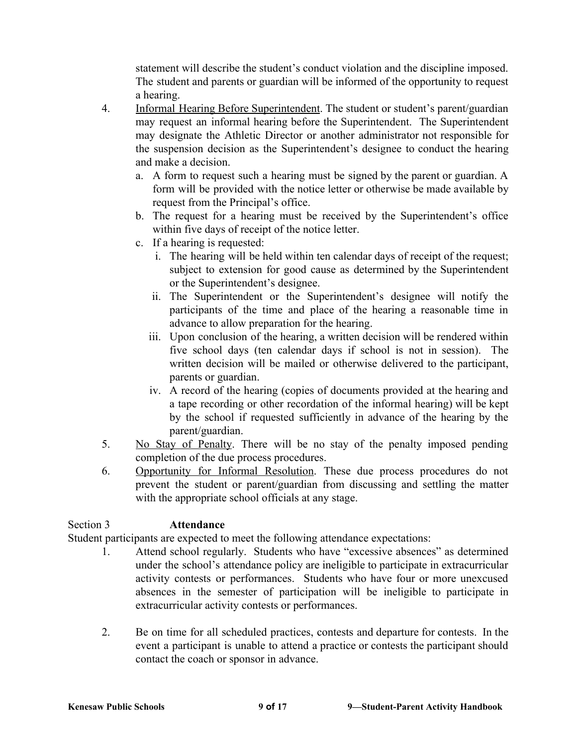statement will describe the student's conduct violation and the discipline imposed. The student and parents or guardian will be informed of the opportunity to request a hearing.

- 4. Informal Hearing Before Superintendent. The student or student's parent/guardian may request an informal hearing before the Superintendent. The Superintendent may designate the Athletic Director or another administrator not responsible for the suspension decision as the Superintendent's designee to conduct the hearing and make a decision.
	- a. A form to request such a hearing must be signed by the parent or guardian. A form will be provided with the notice letter or otherwise be made available by request from the Principal's office.
	- b. The request for a hearing must be received by the Superintendent's office within five days of receipt of the notice letter.
	- c. If a hearing is requested:
		- i. The hearing will be held within ten calendar days of receipt of the request; subject to extension for good cause as determined by the Superintendent or the Superintendent's designee.
		- ii. The Superintendent or the Superintendent's designee will notify the participants of the time and place of the hearing a reasonable time in advance to allow preparation for the hearing.
		- iii. Upon conclusion of the hearing, a written decision will be rendered within five school days (ten calendar days if school is not in session). The written decision will be mailed or otherwise delivered to the participant, parents or guardian.
		- iv. A record of the hearing (copies of documents provided at the hearing and a tape recording or other recordation of the informal hearing) will be kept by the school if requested sufficiently in advance of the hearing by the parent/guardian.
- 5. No Stay of Penalty. There will be no stay of the penalty imposed pending completion of the due process procedures.
- 6. Opportunity for Informal Resolution. These due process procedures do not prevent the student or parent/guardian from discussing and settling the matter with the appropriate school officials at any stage.

# Section 3 **Attendance**

Student participants are expected to meet the following attendance expectations:

- 1. Attend school regularly. Students who have "excessive absences" as determined under the school's attendance policy are ineligible to participate in extracurricular activity contests or performances. Students who have four or more unexcused absences in the semester of participation will be ineligible to participate in extracurricular activity contests or performances.
- 2. Be on time for all scheduled practices, contests and departure for contests. In the event a participant is unable to attend a practice or contests the participant should contact the coach or sponsor in advance.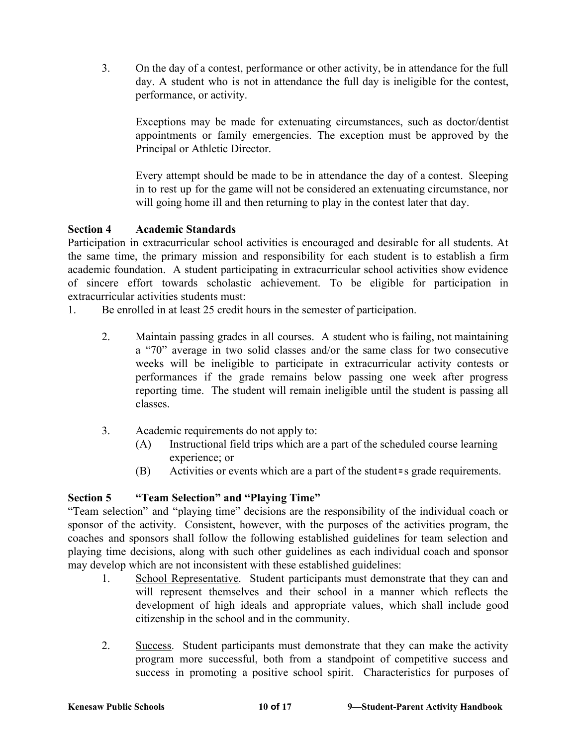3. On the day of a contest, performance or other activity, be in attendance for the full day. A student who is not in attendance the full day is ineligible for the contest, performance, or activity.

Exceptions may be made for extenuating circumstances, such as doctor/dentist appointments or family emergencies. The exception must be approved by the Principal or Athletic Director.

Every attempt should be made to be in attendance the day of a contest. Sleeping in to rest up for the game will not be considered an extenuating circumstance, nor will going home ill and then returning to play in the contest later that day.

# **Section 4 Academic Standards**

Participation in extracurricular school activities is encouraged and desirable for all students. At the same time, the primary mission and responsibility for each student is to establish a firm academic foundation. A student participating in extracurricular school activities show evidence of sincere effort towards scholastic achievement. To be eligible for participation in extracurricular activities students must:

1. Be enrolled in at least 25 credit hours in the semester of participation.

- 2. Maintain passing grades in all courses. A student who is failing, not maintaining a "70" average in two solid classes and/or the same class for two consecutive weeks will be ineligible to participate in extracurricular activity contests or performances if the grade remains below passing one week after progress reporting time. The student will remain ineligible until the student is passing all classes.
- 3. Academic requirements do not apply to:
	- (A) Instructional field trips which are a part of the scheduled course learning experience; or
	- (B) Activities or events which are a part of the student=s grade requirements.

# **Section 5 "Team Selection" and "Playing Time"**

"Team selection" and "playing time" decisions are the responsibility of the individual coach or sponsor of the activity. Consistent, however, with the purposes of the activities program, the coaches and sponsors shall follow the following established guidelines for team selection and playing time decisions, along with such other guidelines as each individual coach and sponsor may develop which are not inconsistent with these established guidelines:

- 1. School Representative. Student participants must demonstrate that they can and will represent themselves and their school in a manner which reflects the development of high ideals and appropriate values, which shall include good citizenship in the school and in the community.
- 2. Success. Student participants must demonstrate that they can make the activity program more successful, both from a standpoint of competitive success and success in promoting a positive school spirit. Characteristics for purposes of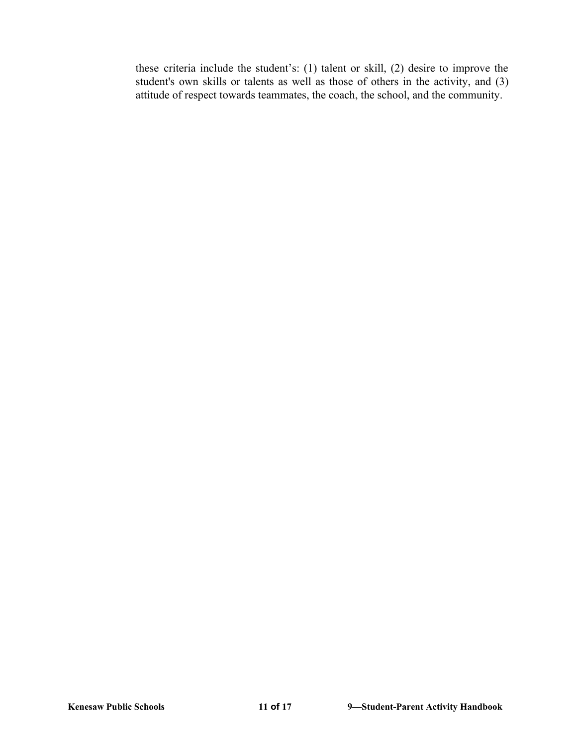these criteria include the student's: (1) talent or skill, (2) desire to improve the student's own skills or talents as well as those of others in the activity, and (3) attitude of respect towards teammates, the coach, the school, and the community.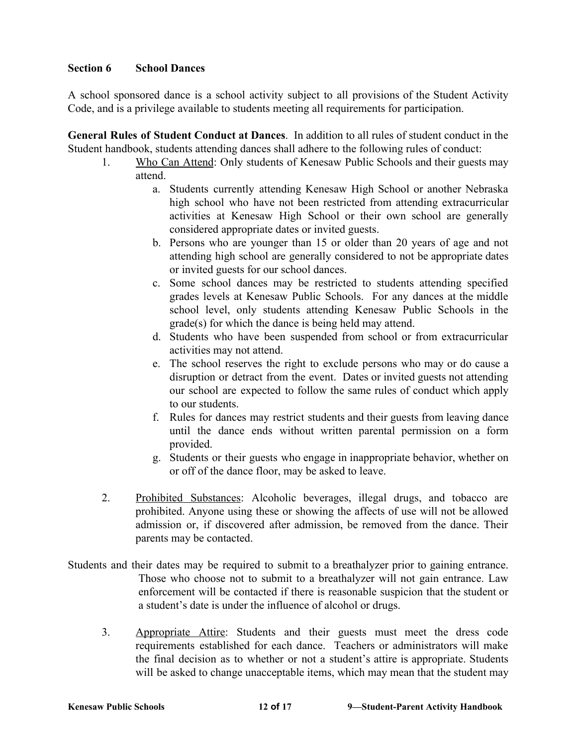## **Section 6 School Dances**

A school sponsored dance is a school activity subject to all provisions of the Student Activity Code, and is a privilege available to students meeting all requirements for participation.

**General Rules of Student Conduct at Dances**. In addition to all rules of student conduct in the Student handbook, students attending dances shall adhere to the following rules of conduct:

- 1. Who Can Attend: Only students of Kenesaw Public Schools and their guests may attend.
	- a. Students currently attending Kenesaw High School or another Nebraska high school who have not been restricted from attending extracurricular activities at Kenesaw High School or their own school are generally considered appropriate dates or invited guests.
	- b. Persons who are younger than 15 or older than 20 years of age and not attending high school are generally considered to not be appropriate dates or invited guests for our school dances.
	- c. Some school dances may be restricted to students attending specified grades levels at Kenesaw Public Schools. For any dances at the middle school level, only students attending Kenesaw Public Schools in the grade(s) for which the dance is being held may attend.
	- d. Students who have been suspended from school or from extracurricular activities may not attend.
	- e. The school reserves the right to exclude persons who may or do cause a disruption or detract from the event. Dates or invited guests not attending our school are expected to follow the same rules of conduct which apply to our students.
	- f. Rules for dances may restrict students and their guests from leaving dance until the dance ends without written parental permission on a form provided.
	- g. Students or their guests who engage in inappropriate behavior, whether on or off of the dance floor, may be asked to leave.
- 2. Prohibited Substances: Alcoholic beverages, illegal drugs, and tobacco are prohibited. Anyone using these or showing the affects of use will not be allowed admission or, if discovered after admission, be removed from the dance. Their parents may be contacted.
- Students and their dates may be required to submit to a breathalyzer prior to gaining entrance. Those who choose not to submit to a breathalyzer will not gain entrance. Law enforcement will be contacted if there is reasonable suspicion that the student or a student's date is under the influence of alcohol or drugs.
	- 3. Appropriate Attire: Students and their guests must meet the dress code requirements established for each dance. Teachers or administrators will make the final decision as to whether or not a student's attire is appropriate. Students will be asked to change unacceptable items, which may mean that the student may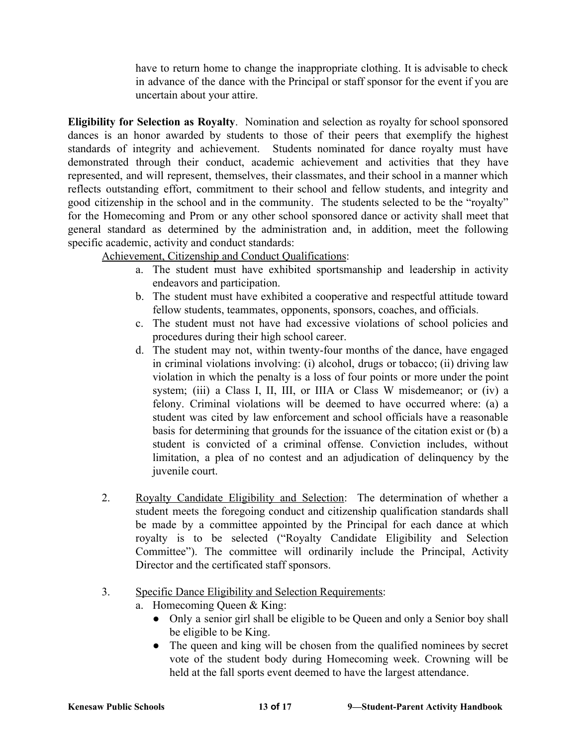have to return home to change the inappropriate clothing. It is advisable to check in advance of the dance with the Principal or staff sponsor for the event if you are uncertain about your attire.

**Eligibility for Selection as Royalty**. Nomination and selection as royalty for school sponsored dances is an honor awarded by students to those of their peers that exemplify the highest standards of integrity and achievement. Students nominated for dance royalty must have demonstrated through their conduct, academic achievement and activities that they have represented, and will represent, themselves, their classmates, and their school in a manner which reflects outstanding effort, commitment to their school and fellow students, and integrity and good citizenship in the school and in the community. The students selected to be the "royalty" for the Homecoming and Prom or any other school sponsored dance or activity shall meet that general standard as determined by the administration and, in addition, meet the following specific academic, activity and conduct standards:

Achievement, Citizenship and Conduct Qualifications:

- a. The student must have exhibited sportsmanship and leadership in activity endeavors and participation.
- b. The student must have exhibited a cooperative and respectful attitude toward fellow students, teammates, opponents, sponsors, coaches, and officials.
- c. The student must not have had excessive violations of school policies and procedures during their high school career.
- d. The student may not, within twenty-four months of the dance, have engaged in criminal violations involving: (i) alcohol, drugs or tobacco; (ii) driving law violation in which the penalty is a loss of four points or more under the point system; (iii) a Class I, II, III, or IIIA or Class W misdemeanor; or (iv) a felony. Criminal violations will be deemed to have occurred where: (a) a student was cited by law enforcement and school officials have a reasonable basis for determining that grounds for the issuance of the citation exist or (b) a student is convicted of a criminal offense. Conviction includes, without limitation, a plea of no contest and an adjudication of delinquency by the juvenile court.
- 2. Royalty Candidate Eligibility and Selection: The determination of whether a student meets the foregoing conduct and citizenship qualification standards shall be made by a committee appointed by the Principal for each dance at which royalty is to be selected ("Royalty Candidate Eligibility and Selection Committee"). The committee will ordinarily include the Principal, Activity Director and the certificated staff sponsors.
- 3. Specific Dance Eligibility and Selection Requirements:
	- a. Homecoming Queen & King:
		- Only a senior girl shall be eligible to be Queen and only a Senior boy shall be eligible to be King.
		- The queen and king will be chosen from the qualified nominees by secret vote of the student body during Homecoming week. Crowning will be held at the fall sports event deemed to have the largest attendance.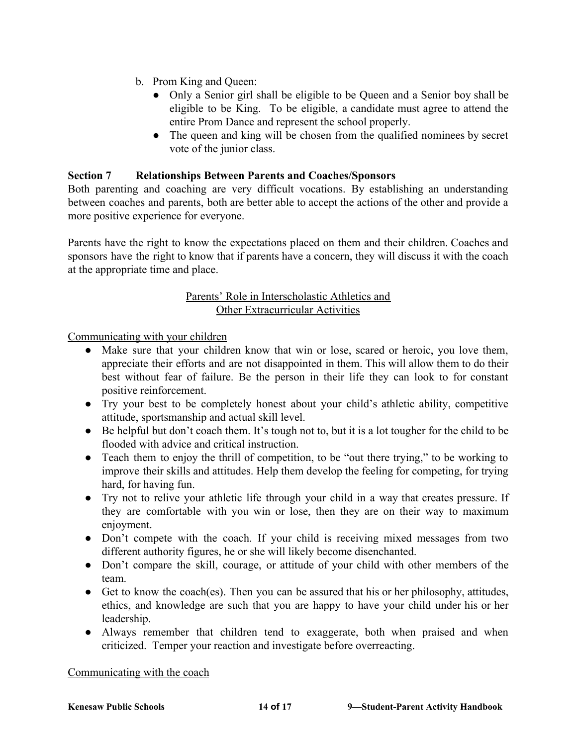- b. Prom King and Queen:
	- Only a Senior girl shall be eligible to be Queen and a Senior boy shall be eligible to be King. To be eligible, a candidate must agree to attend the entire Prom Dance and represent the school properly.
	- The queen and king will be chosen from the qualified nominees by secret vote of the junior class.

# **Section 7 Relationships Between Parents and Coaches/Sponsors**

Both parenting and coaching are very difficult vocations. By establishing an understanding between coaches and parents, both are better able to accept the actions of the other and provide a more positive experience for everyone.

Parents have the right to know the expectations placed on them and their children. Coaches and sponsors have the right to know that if parents have a concern, they will discuss it with the coach at the appropriate time and place.

## Parents' Role in Interscholastic Athletics and Other Extracurricular Activities

Communicating with your children

- Make sure that your children know that win or lose, scared or heroic, you love them, appreciate their efforts and are not disappointed in them. This will allow them to do their best without fear of failure. Be the person in their life they can look to for constant positive reinforcement.
- Try your best to be completely honest about your child's athletic ability, competitive attitude, sportsmanship and actual skill level.
- Be helpful but don't coach them. It's tough not to, but it is a lot tougher for the child to be flooded with advice and critical instruction.
- Teach them to enjoy the thrill of competition, to be "out there trying," to be working to improve their skills and attitudes. Help them develop the feeling for competing, for trying hard, for having fun.
- Try not to relive your athletic life through your child in a way that creates pressure. If they are comfortable with you win or lose, then they are on their way to maximum enjoyment.
- Don't compete with the coach. If your child is receiving mixed messages from two different authority figures, he or she will likely become disenchanted.
- Don't compare the skill, courage, or attitude of your child with other members of the team.
- Get to know the coach(es). Then you can be assured that his or her philosophy, attitudes, ethics, and knowledge are such that you are happy to have your child under his or her leadership.
- Always remember that children tend to exaggerate, both when praised and when criticized. Temper your reaction and investigate before overreacting.

### Communicating with the coach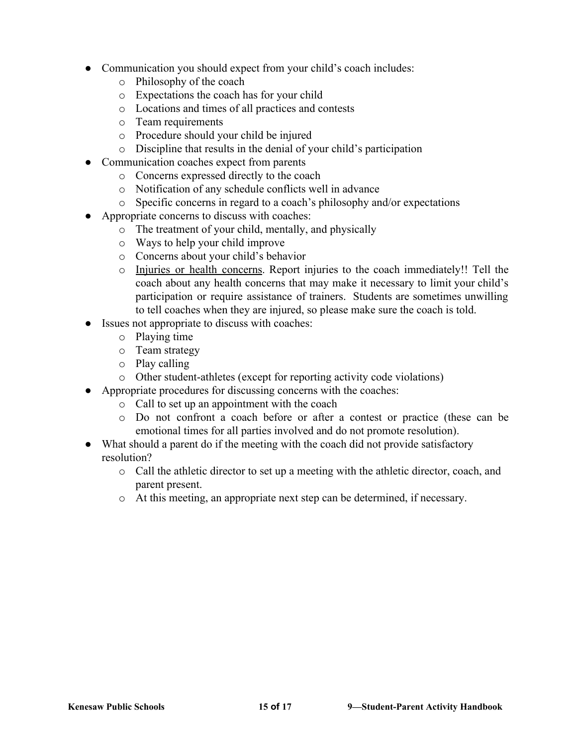- Communication you should expect from your child's coach includes:
	- o Philosophy of the coach
	- o Expectations the coach has for your child
	- o Locations and times of all practices and contests
	- o Team requirements
	- o Procedure should your child be injured
	- o Discipline that results in the denial of your child's participation
- Communication coaches expect from parents
	- o Concerns expressed directly to the coach
	- o Notification of any schedule conflicts well in advance
	- o Specific concerns in regard to a coach's philosophy and/or expectations
- Appropriate concerns to discuss with coaches:
	- o The treatment of your child, mentally, and physically
	- o Ways to help your child improve
	- o Concerns about your child's behavior
	- o Injuries or health concerns. Report injuries to the coach immediately!! Tell the coach about any health concerns that may make it necessary to limit your child's participation or require assistance of trainers. Students are sometimes unwilling to tell coaches when they are injured, so please make sure the coach is told.
- Issues not appropriate to discuss with coaches:
	- o Playing time
	- o Team strategy
	- o Play calling
	- o Other student-athletes (except for reporting activity code violations)
- Appropriate procedures for discussing concerns with the coaches:
	- o Call to set up an appointment with the coach
	- o Do not confront a coach before or after a contest or practice (these can be emotional times for all parties involved and do not promote resolution).
- What should a parent do if the meeting with the coach did not provide satisfactory resolution?
	- o Call the athletic director to set up a meeting with the athletic director, coach, and parent present.
	- o At this meeting, an appropriate next step can be determined, if necessary.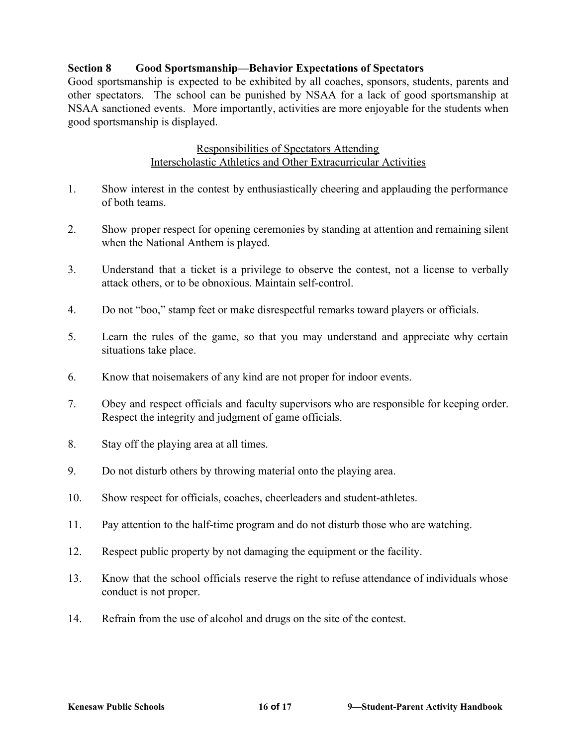# **Section 8 Good Sportsmanship—Behavior Expectations of Spectators**

Good sportsmanship is expected to be exhibited by all coaches, sponsors, students, parents and other spectators. The school can be punished by NSAA for a lack of good sportsmanship at NSAA sanctioned events. More importantly, activities are more enjoyable for the students when good sportsmanship is displayed.

## Responsibilities of Spectators Attending Interscholastic Athletics and Other Extracurricular Activities

- 1. Show interest in the contest by enthusiastically cheering and applauding the performance of both teams.
- 2. Show proper respect for opening ceremonies by standing at attention and remaining silent when the National Anthem is played.
- 3. Understand that a ticket is a privilege to observe the contest, not a license to verbally attack others, or to be obnoxious. Maintain self-control.
- 4. Do not "boo," stamp feet or make disrespectful remarks toward players or officials.
- 5. Learn the rules of the game, so that you may understand and appreciate why certain situations take place.
- 6. Know that noisemakers of any kind are not proper for indoor events.
- 7. Obey and respect officials and faculty supervisors who are responsible for keeping order. Respect the integrity and judgment of game officials.
- 8. Stay off the playing area at all times.
- 9. Do not disturb others by throwing material onto the playing area.
- 10. Show respect for officials, coaches, cheerleaders and student-athletes.
- 11. Pay attention to the half-time program and do not disturb those who are watching.
- 12. Respect public property by not damaging the equipment or the facility.
- 13. Know that the school officials reserve the right to refuse attendance of individuals whose conduct is not proper.
- 14. Refrain from the use of alcohol and drugs on the site of the contest.